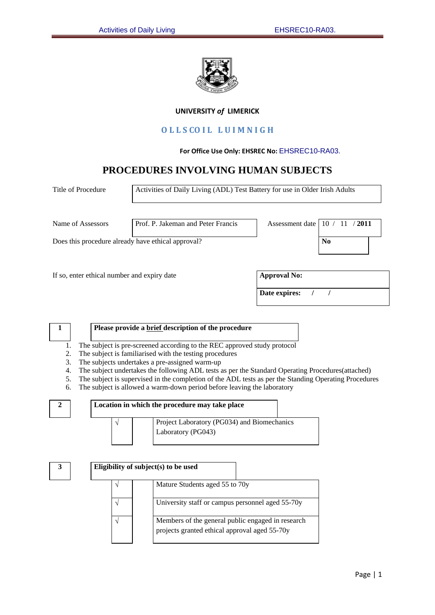

## **UNIVERSITY** *of* **LIMERICK**

# **O L L S CO I L L U I M N I G H**

#### **For Office Use Only: EHSREC No:** EHSREC10-RA03.

# **PROCEDURES INVOLVING HUMAN SUBJECTS**

| Title of Procedure                                 | Activities of Daily Living (ADL) Test Battery for use in Older Irish Adults |                     |                |
|----------------------------------------------------|-----------------------------------------------------------------------------|---------------------|----------------|
| Name of Assessors                                  | Prof. P. Jakeman and Peter Francis                                          | Assessment date     | 2011<br>- 10   |
| Does this procedure already have ethical approval? |                                                                             |                     | N <sub>0</sub> |
| If so, enter ethical number and expiry date        |                                                                             | <b>Approval No:</b> |                |
|                                                    |                                                                             | Date expires:       |                |
|                                                    |                                                                             |                     |                |

# **1 Please provide a brief description of the procedure**

- 1. The subject is pre-screened according to the REC approved study protocol
- 2. The subject is familiarised with the testing procedures
- 3. The subjects undertakes a pre-assigned warm-up

V

- 4. The subject undertakes the following ADL tests as per the Standard Operating Procedures(attached)
- 5. The subject is supervised in the completion of the ADL tests as per the Standing Operating Procedures
- 6. The subject is allowed a warm-down period before leaving the laboratory

|  | Location in which the procedure may take place |
|--|------------------------------------------------|
|  |                                                |



|  | Eligibility of subject(s) to be used                                                               |
|--|----------------------------------------------------------------------------------------------------|
|  | Mature Students aged 55 to 70y                                                                     |
|  | University staff or campus personnel aged 55-70y                                                   |
|  | Members of the general public engaged in research<br>projects granted ethical approval aged 55-70y |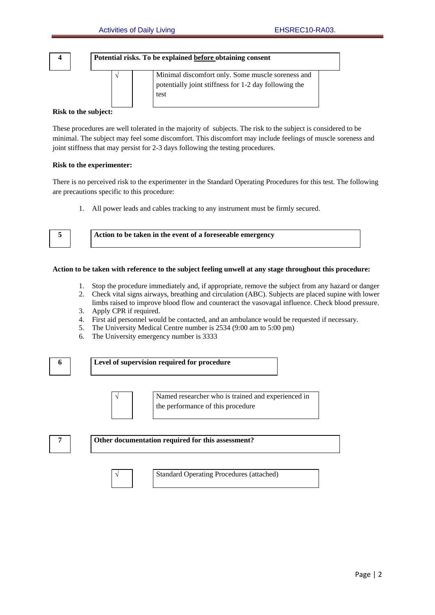$\sqrt{ }$ 





#### **Risk to the subject:**

These procedures are well tolerated in the majority of subjects. The risk to the subject is considered to be minimal. The subject may feel some discomfort. This discomfort may include feelings of muscle soreness and joint stiffness that may persist for 2-3 days following the testing procedures.

#### **Risk to the experimenter:**

There is no perceived risk to the experimenter in the Standard Operating Procedures for this test. The following are precautions specific to this procedure:

1. All power leads and cables tracking to any instrument must be firmly secured.

| ٠<br>٦<br>۹<br>$\sim$ |  |
|-----------------------|--|
|                       |  |

**5 Action to be taken in the event of a foreseeable emergency**

#### **Action to be taken with reference to the subject feeling unwell at any stage throughout this procedure:**

- 1. Stop the procedure immediately and, if appropriate, remove the subject from any hazard or danger
- 2. Check vital signs airways, breathing and circulation (ABC). Subjects are placed supine with lower limbs raised to improve blood flow and counteract the vasovagal influence. Check blood pressure.
- 3. Apply CPR if required.
- 4. First aid personnel would be contacted, and an ambulance would be requested if necessary.
- 5. The University Medical Centre number is 2534 (9:00 am to 5:00 pm)
- 6. The University emergency number is 3333



**7 Other documentation required for this assessment?**



Standard Operating Procedures (attached)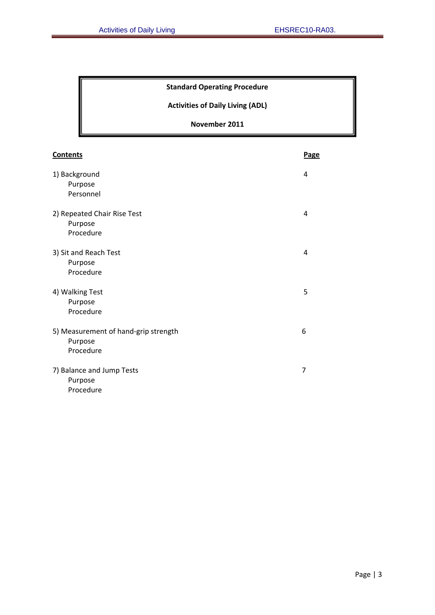# **Standard Operating Procedure**

**Activities of Daily Living (ADL)**

# **November 2011**

| <b>Contents</b>                                              | Page |
|--------------------------------------------------------------|------|
| 1) Background<br>Purpose<br>Personnel                        | 4    |
| 2) Repeated Chair Rise Test<br>Purpose<br>Procedure          | 4    |
| 3) Sit and Reach Test<br>Purpose<br>Procedure                | 4    |
| 4) Walking Test<br>Purpose<br>Procedure                      | 5    |
| 5) Measurement of hand-grip strength<br>Purpose<br>Procedure | 6    |
| 7) Balance and Jump Tests<br>Purpose<br>Procedure            | 7    |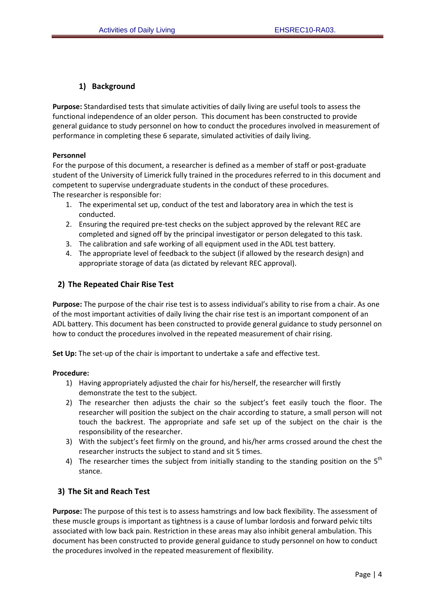# **1) Background**

**Purpose:** Standardised tests that simulate activities of daily living are useful tools to assess the functional independence of an older person. This document has been constructed to provide general guidance to study personnel on how to conduct the procedures involved in measurement of performance in completing these 6 separate, simulated activities of daily living.

## **Personnel**

For the purpose of this document, a researcher is defined as a member of staff or post-graduate student of the University of Limerick fully trained in the procedures referred to in this document and competent to supervise undergraduate students in the conduct of these procedures. The researcher is responsible for:

- 1. The experimental set up, conduct of the test and laboratory area in which the test is conducted.
- 2. Ensuring the required pre-test checks on the subject approved by the relevant REC are completed and signed off by the principal investigator or person delegated to this task.
- 3. The calibration and safe working of all equipment used in the ADL test battery.
- 4. The appropriate level of feedback to the subject (if allowed by the research design) and appropriate storage of data (as dictated by relevant REC approval).

# **2) The Repeated Chair Rise Test**

**Purpose:** The purpose of the chair rise test is to assess individual's ability to rise from a chair. As one of the most important activities of daily living the chair rise test is an important component of an ADL battery. This document has been constructed to provide general guidance to study personnel on how to conduct the procedures involved in the repeated measurement of chair rising.

**Set Up:** The set-up of the chair is important to undertake a safe and effective test.

## **Procedure:**

- 1) Having appropriately adjusted the chair for his/herself, the researcher will firstly demonstrate the test to the subject.
- 2) The researcher then adjusts the chair so the subject's feet easily touch the floor. The researcher will position the subject on the chair according to stature, a small person will not touch the backrest. The appropriate and safe set up of the subject on the chair is the responsibility of the researcher.
- 3) With the subject's feet firmly on the ground, and his/her arms crossed around the chest the researcher instructs the subject to stand and sit 5 times.
- 4) The researcher times the subject from initially standing to the standing position on the  $5<sup>th</sup>$ stance.

# **3) The Sit and Reach Test**

**Purpose:** The purpose of this test is to assess hamstrings and low back flexibility. The assessment of these muscle groups is important as tightness is a cause of lumbar lordosis and forward pelvic tilts associated with low back pain. Restriction in these areas may also inhibit general ambulation. This document has been constructed to provide general guidance to study personnel on how to conduct the procedures involved in the repeated measurement of flexibility.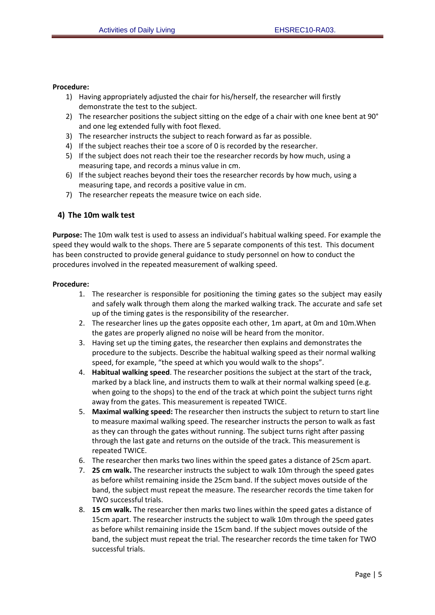#### **Procedure:**

- 1) Having appropriately adjusted the chair for his/herself, the researcher will firstly demonstrate the test to the subject.
- 2) The researcher positions the subject sitting on the edge of a chair with one knee bent at 90° and one leg extended fully with foot flexed.
- 3) The researcher instructs the subject to reach forward as far as possible.
- 4) If the subject reaches their toe a score of 0 is recorded by the researcher.
- 5) If the subject does not reach their toe the researcher records by how much, using a measuring tape, and records a minus value in cm.
- 6) If the subject reaches beyond their toes the researcher records by how much, using a measuring tape, and records a positive value in cm.
- 7) The researcher repeats the measure twice on each side.

## **4) The 10m walk test**

**Purpose:** The 10m walk test is used to assess an individual's habitual walking speed. For example the speed they would walk to the shops. There are 5 separate components of this test. This document has been constructed to provide general guidance to study personnel on how to conduct the procedures involved in the repeated measurement of walking speed.

#### **Procedure:**

- 1. The researcher is responsible for positioning the timing gates so the subject may easily and safely walk through them along the marked walking track. The accurate and safe set up of the timing gates is the responsibility of the researcher.
- 2. The researcher lines up the gates opposite each other, 1m apart, at 0m and 10m.When the gates are properly aligned no noise will be heard from the monitor.
- 3. Having set up the timing gates, the researcher then explains and demonstrates the procedure to the subjects. Describe the habitual walking speed as their normal walking speed, for example, "the speed at which you would walk to the shops".
- 4. **Habitual walking speed**. The researcher positions the subject at the start of the track, marked by a black line, and instructs them to walk at their normal walking speed (e.g. when going to the shops) to the end of the track at which point the subject turns right away from the gates. This measurement is repeated TWICE.
- 5. **Maximal walking speed:** The researcher then instructs the subject to return to start line to measure maximal walking speed. The researcher instructs the person to walk as fast as they can through the gates without running. The subject turns right after passing through the last gate and returns on the outside of the track. This measurement is repeated TWICE.
- 6. The researcher then marks two lines within the speed gates a distance of 25cm apart.
- 7. **25 cm walk.** The researcher instructs the subject to walk 10m through the speed gates as before whilst remaining inside the 25cm band. If the subject moves outside of the band, the subject must repeat the measure. The researcher records the time taken for TWO successful trials.
- 8. **15 cm walk.** The researcher then marks two lines within the speed gates a distance of 15cm apart. The researcher instructs the subject to walk 10m through the speed gates as before whilst remaining inside the 15cm band. If the subject moves outside of the band, the subject must repeat the trial. The researcher records the time taken for TWO successful trials.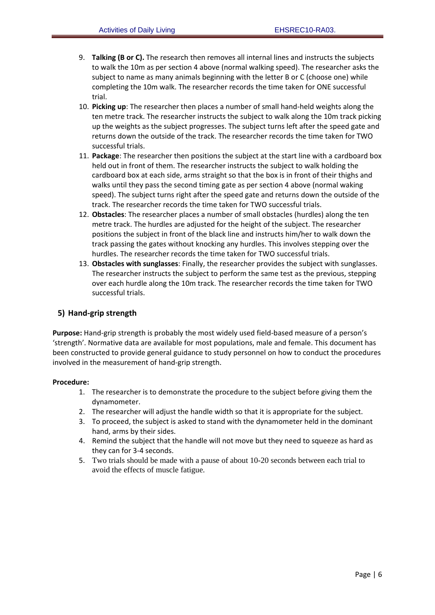- 9. **Talking (B or C).** The research then removes all internal lines and instructs the subjects to walk the 10m as per section 4 above (normal walking speed). The researcher asks the subject to name as many animals beginning with the letter B or C (choose one) while completing the 10m walk. The researcher records the time taken for ONE successful trial.
- 10. **Picking up**: The researcher then places a number of small hand‐held weights along the ten metre track. The researcher instructs the subject to walk along the 10m track picking up the weights as the subject progresses. The subject turns left after the speed gate and returns down the outside of the track. The researcher records the time taken for TWO successful trials.
- 11. **Package**: The researcher then positions the subject at the start line with a cardboard box held out in front of them. The researcher instructs the subject to walk holding the cardboard box at each side, arms straight so that the box is in front of their thighs and walks until they pass the second timing gate as per section 4 above (normal waking speed). The subject turns right after the speed gate and returns down the outside of the track. The researcher records the time taken for TWO successful trials.
- 12. **Obstacles**: The researcher places a number of small obstacles (hurdles) along the ten metre track. The hurdles are adjusted for the height of the subject. The researcher positions the subject in front of the black line and instructs him/her to walk down the track passing the gates without knocking any hurdles. This involves stepping over the hurdles. The researcher records the time taken for TWO successful trials.
- 13. **Obstacles with sunglasses**: Finally, the researcher provides the subject with sunglasses. The researcher instructs the subject to perform the same test as the previous, stepping over each hurdle along the 10m track. The researcher records the time taken for TWO successful trials.

# **5) Hand‐grip strength**

**Purpose:** Hand‐grip strength is probably the most widely used field‐based measure of a person's 'strength'. Normative data are available for most populations, male and female. This document has been constructed to provide general guidance to study personnel on how to conduct the procedures involved in the measurement of hand‐grip strength.

## **Procedure:**

- 1. The researcher is to demonstrate the procedure to the subject before giving them the dynamometer.
- 2. The researcher will adjust the handle width so that it is appropriate for the subject.
- 3. To proceed, the subject is asked to stand with the dynamometer held in the dominant hand, arms by their sides.
- 4. Remind the subject that the handle will not move but they need to squeeze as hard as they can for 3‐4 seconds.
- 5. Two trials should be made with a pause of about 10-20 seconds between each trial to avoid the effects of muscle fatigue.